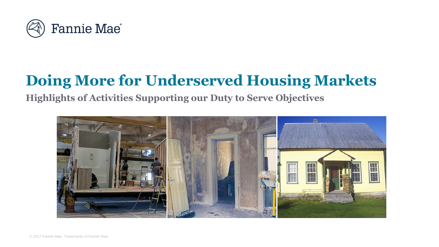

# **Doing More for Underserved Housing Markets**

**Highlights of Activities Supporting our Duty to Serve Objectives**

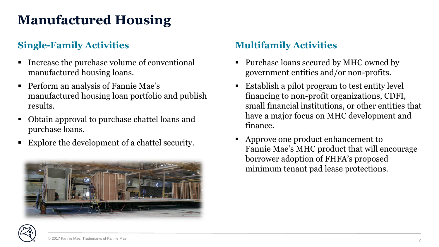## **Manufactured Housing**

### **Single-Family Activities Multifamily Activities**

- Increase the purchase volume of conventional manufactured housing loans.
- **Perform an analysis of Fannie Mae's** manufactured housing loan portfolio and publish results.
- Obtain approval to purchase chattel loans and purchase loans.
- Explore the development of a chattel security.



- Purchase loans secured by MHC owned by government entities and/or non-profits.
- Establish a pilot program to test entity level financing to non-profit organizations, CDFI, small financial institutions, or other entities that have a major focus on MHC development and finance.
- Approve one product enhancement to Fannie Mae's MHC product that will encourage borrower adoption of FHFA's proposed minimum tenant pad lease protections.

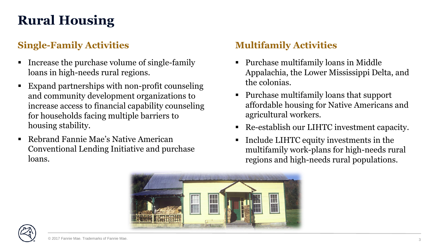## **Rural Housing**

### **Single-Family Activities Multifamily Activities**

- Increase the purchase volume of single-family loans in high-needs rural regions.
- Expand partnerships with non-profit counseling and community development organizations to increase access to financial capability counseling for households facing multiple barriers to housing stability.
- Rebrand Fannie Mae's Native American Conventional Lending Initiative and purchase loans.

- Purchase multifamily loans in Middle Appalachia, the Lower Mississippi Delta, and the colonias.
- Purchase multifamily loans that support affordable housing for Native Americans and agricultural workers.
- Re-establish our LIHTC investment capacity.
- **Include LIHTC equity investments in the** multifamily work-plans for high-needs rural regions and high-needs rural populations.